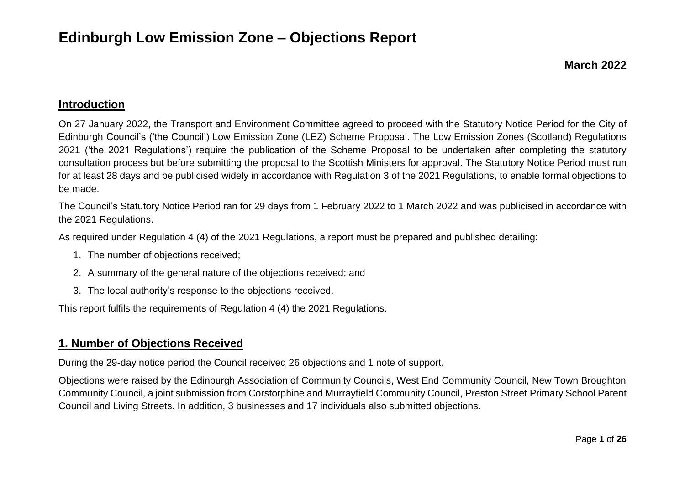#### **March 2022**

### **Introduction**

On 27 January 2022, the Transport and Environment Committee agreed to proceed with the Statutory Notice Period for the City of Edinburgh Council's ('the Council') Low Emission Zone (LEZ) Scheme Proposal. The Low Emission Zones (Scotland) Regulations 2021 ('the 2021 Regulations') require the publication of the Scheme Proposal to be undertaken after completing the statutory consultation process but before submitting the proposal to the Scottish Ministers for approval. The Statutory Notice Period must run for at least 28 days and be publicised widely in accordance with Regulation 3 of the 2021 Regulations, to enable formal objections to be made.

The Council's Statutory Notice Period ran for 29 days from 1 February 2022 to 1 March 2022 and was publicised in accordance with the 2021 Regulations.

As required under Regulation 4 (4) of the 2021 Regulations, a report must be prepared and published detailing:

- 1. The number of objections received;
- 2. A summary of the general nature of the objections received; and
- 3. The local authority's response to the objections received.

This report fulfils the requirements of Regulation 4 (4) the 2021 Regulations.

### **1. Number of Objections Received**

During the 29-day notice period the Council received 26 objections and 1 note of support.

Objections were raised by the Edinburgh Association of Community Councils, West End Community Council, New Town Broughton Community Council, a joint submission from Corstorphine and Murrayfield Community Council, Preston Street Primary School Parent Council and Living Streets. In addition, 3 businesses and 17 individuals also submitted objections.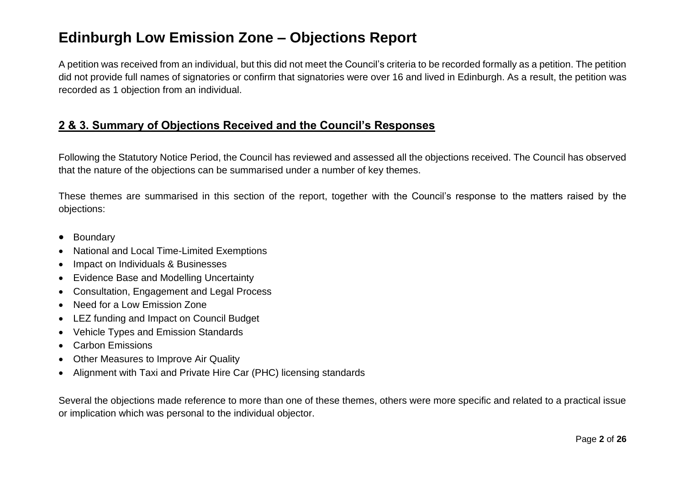A petition was received from an individual, but this did not meet the Council's criteria to be recorded formally as a petition. The petition did not provide full names of signatories or confirm that signatories were over 16 and lived in Edinburgh. As a result, the petition was recorded as 1 objection from an individual.

### **2 & 3. Summary of Objections Received and the Council's Responses**

Following the Statutory Notice Period, the Council has reviewed and assessed all the objections received. The Council has observed that the nature of the objections can be summarised under a number of key themes.

These themes are summarised in this section of the report, together with the Council's response to the matters raised by the objections:

- Boundary
- National and Local Time-Limited Exemptions
- Impact on Individuals & Businesses
- Evidence Base and Modelling Uncertainty
- Consultation, Engagement and Legal Process
- Need for a Low Emission Zone
- LEZ funding and Impact on Council Budget
- Vehicle Types and Emission Standards
- Carbon Emissions
- Other Measures to Improve Air Quality
- Alignment with Taxi and Private Hire Car (PHC) licensing standards

Several the objections made reference to more than one of these themes, others were more specific and related to a practical issue or implication which was personal to the individual objector.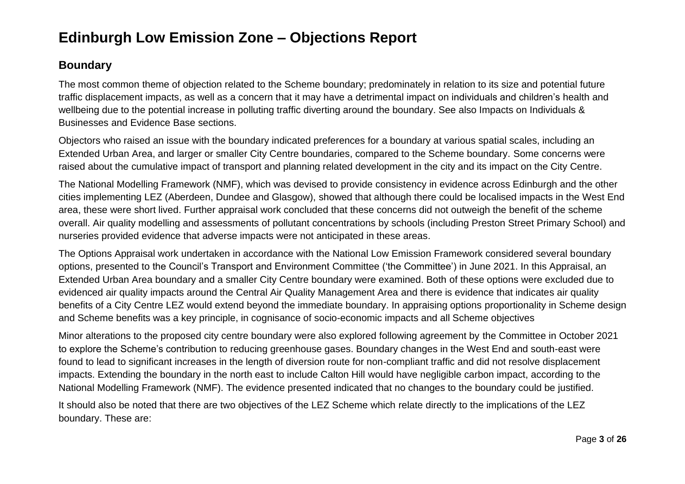### **Boundary**

The most common theme of objection related to the Scheme boundary; predominately in relation to its size and potential future traffic displacement impacts, as well as a concern that it may have a detrimental impact on individuals and children's health and wellbeing due to the potential increase in polluting traffic diverting around the boundary. See also Impacts on Individuals & Businesses and Evidence Base sections.

Objectors who raised an issue with the boundary indicated preferences for a boundary at various spatial scales, including an Extended Urban Area, and larger or smaller City Centre boundaries, compared to the Scheme boundary. Some concerns were raised about the cumulative impact of transport and planning related development in the city and its impact on the City Centre.

The National Modelling Framework (NMF), which was devised to provide consistency in evidence across Edinburgh and the other cities implementing LEZ (Aberdeen, Dundee and Glasgow), showed that although there could be localised impacts in the West End area, these were short lived. Further appraisal work concluded that these concerns did not outweigh the benefit of the scheme overall. Air quality modelling and assessments of pollutant concentrations by schools (including Preston Street Primary School) and nurseries provided evidence that adverse impacts were not anticipated in these areas.

The Options Appraisal work undertaken in accordance with the National Low Emission Framework considered several boundary options, presented to the Council's Transport and Environment Committee ('the Committee') in June 2021. In this Appraisal, an Extended Urban Area boundary and a smaller City Centre boundary were examined. Both of these options were excluded due to evidenced air quality impacts around the Central Air Quality Management Area and there is evidence that indicates air quality benefits of a City Centre LEZ would extend beyond the immediate boundary. In appraising options proportionality in Scheme design and Scheme benefits was a key principle, in cognisance of socio-economic impacts and all Scheme objectives

Minor alterations to the proposed city centre boundary were also explored following agreement by the Committee in October 2021 to explore the Scheme's contribution to reducing greenhouse gases. Boundary changes in the West End and south-east were found to lead to significant increases in the length of diversion route for non-compliant traffic and did not resolve displacement impacts. Extending the boundary in the north east to include Calton Hill would have negligible carbon impact, according to the National Modelling Framework (NMF). The evidence presented indicated that no changes to the boundary could be justified.

It should also be noted that there are two objectives of the LEZ Scheme which relate directly to the implications of the LEZ boundary. These are: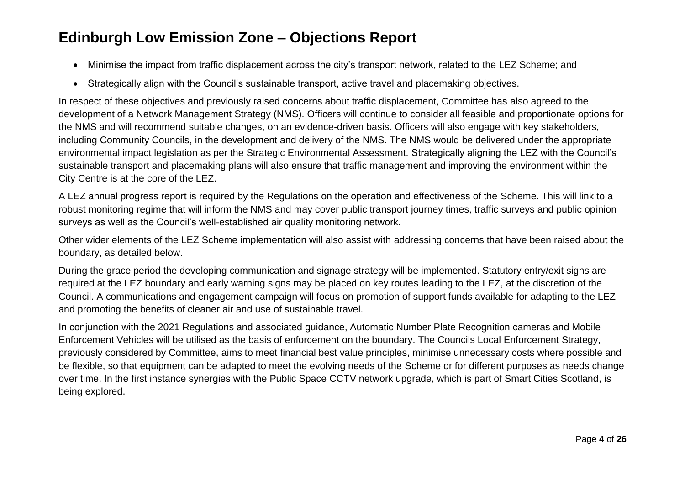- Minimise the impact from traffic displacement across the city's transport network, related to the LEZ Scheme; and
- Strategically align with the Council's sustainable transport, active travel and placemaking objectives.

In respect of these objectives and previously raised concerns about traffic displacement, Committee has also agreed to the development of a Network Management Strategy (NMS). Officers will continue to consider all feasible and proportionate options for the NMS and will recommend suitable changes, on an evidence-driven basis. Officers will also engage with key stakeholders, including Community Councils, in the development and delivery of the NMS. The NMS would be delivered under the appropriate environmental impact legislation as per the Strategic Environmental Assessment. Strategically aligning the LEZ with the Council's sustainable transport and placemaking plans will also ensure that traffic management and improving the environment within the City Centre is at the core of the LEZ.

A LEZ annual progress report is required by the Regulations on the operation and effectiveness of the Scheme. This will link to a robust monitoring regime that will inform the NMS and may cover public transport journey times, traffic surveys and public opinion surveys as well as the Council's well-established air quality monitoring network.

Other wider elements of the LEZ Scheme implementation will also assist with addressing concerns that have been raised about the boundary, as detailed below.

During the grace period the developing communication and signage strategy will be implemented. Statutory entry/exit signs are required at the LEZ boundary and early warning signs may be placed on key routes leading to the LEZ, at the discretion of the Council. A communications and engagement campaign will focus on promotion of support funds available for adapting to the LEZ and promoting the benefits of cleaner air and use of sustainable travel.

In conjunction with the 2021 Regulations and associated guidance, Automatic Number Plate Recognition cameras and Mobile Enforcement Vehicles will be utilised as the basis of enforcement on the boundary. The Councils Local Enforcement Strategy, previously considered by Committee, aims to meet financial best value principles, minimise unnecessary costs where possible and be flexible, so that equipment can be adapted to meet the evolving needs of the Scheme or for different purposes as needs change over time. In the first instance synergies with the Public Space CCTV network upgrade, which is part of Smart Cities Scotland, is being explored.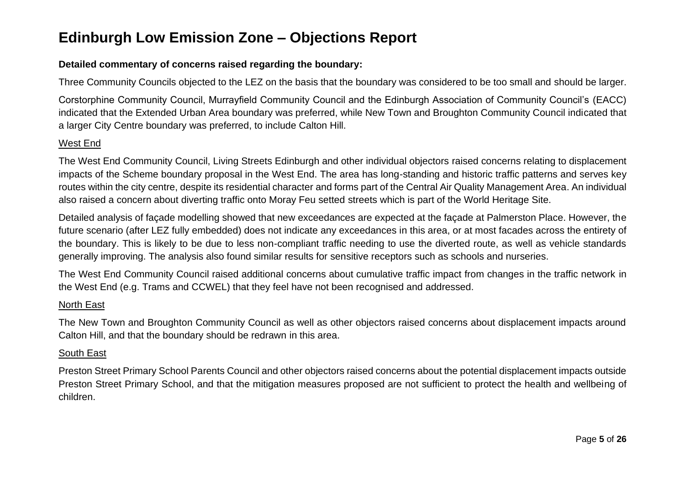#### **Detailed commentary of concerns raised regarding the boundary:**

Three Community Councils objected to the LEZ on the basis that the boundary was considered to be too small and should be larger.

Corstorphine Community Council, Murrayfield Community Council and the Edinburgh Association of Community Council's (EACC) indicated that the Extended Urban Area boundary was preferred, while New Town and Broughton Community Council indicated that a larger City Centre boundary was preferred, to include Calton Hill.

#### West End

The West End Community Council, Living Streets Edinburgh and other individual objectors raised concerns relating to displacement impacts of the Scheme boundary proposal in the West End. The area has long-standing and historic traffic patterns and serves key routes within the city centre, despite its residential character and forms part of the Central Air Quality Management Area. An individual also raised a concern about diverting traffic onto Moray Feu setted streets which is part of the World Heritage Site.

Detailed analysis of façade modelling showed that new exceedances are expected at the façade at Palmerston Place. However, the future scenario (after LEZ fully embedded) does not indicate any exceedances in this area, or at most facades across the entirety of the boundary. This is likely to be due to less non-compliant traffic needing to use the diverted route, as well as vehicle standards generally improving. The analysis also found similar results for sensitive receptors such as schools and nurseries.

The West End Community Council raised additional concerns about cumulative traffic impact from changes in the traffic network in the West End (e.g. Trams and CCWEL) that they feel have not been recognised and addressed.

#### North East

The New Town and Broughton Community Council as well as other objectors raised concerns about displacement impacts around Calton Hill, and that the boundary should be redrawn in this area.

#### South East

Preston Street Primary School Parents Council and other objectors raised concerns about the potential displacement impacts outside Preston Street Primary School, and that the mitigation measures proposed are not sufficient to protect the health and wellbeing of children.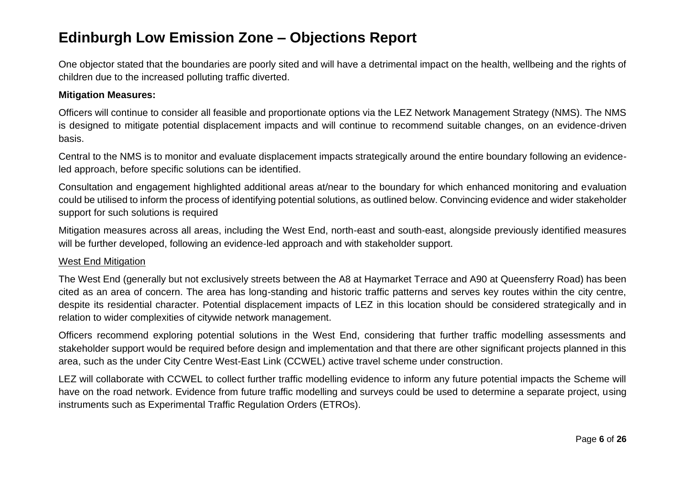One objector stated that the boundaries are poorly sited and will have a detrimental impact on the health, wellbeing and the rights of children due to the increased polluting traffic diverted.

#### **Mitigation Measures:**

Officers will continue to consider all feasible and proportionate options via the LEZ Network Management Strategy (NMS). The NMS is designed to mitigate potential displacement impacts and will continue to recommend suitable changes, on an evidence-driven basis.

Central to the NMS is to monitor and evaluate displacement impacts strategically around the entire boundary following an evidenceled approach, before specific solutions can be identified.

Consultation and engagement highlighted additional areas at/near to the boundary for which enhanced monitoring and evaluation could be utilised to inform the process of identifying potential solutions, as outlined below. Convincing evidence and wider stakeholder support for such solutions is required

Mitigation measures across all areas, including the West End, north-east and south-east, alongside previously identified measures will be further developed, following an evidence-led approach and with stakeholder support.

#### West End Mitigation

The West End (generally but not exclusively streets between the A8 at Haymarket Terrace and A90 at Queensferry Road) has been cited as an area of concern. The area has long-standing and historic traffic patterns and serves key routes within the city centre, despite its residential character. Potential displacement impacts of LEZ in this location should be considered strategically and in relation to wider complexities of citywide network management.

Officers recommend exploring potential solutions in the West End, considering that further traffic modelling assessments and stakeholder support would be required before design and implementation and that there are other significant projects planned in this area, such as the under City Centre West-East Link (CCWEL) active travel scheme under construction.

LEZ will collaborate with CCWEL to collect further traffic modelling evidence to inform any future potential impacts the Scheme will have on the road network. Evidence from future traffic modelling and surveys could be used to determine a separate project, using instruments such as Experimental Traffic Regulation Orders (ETROs).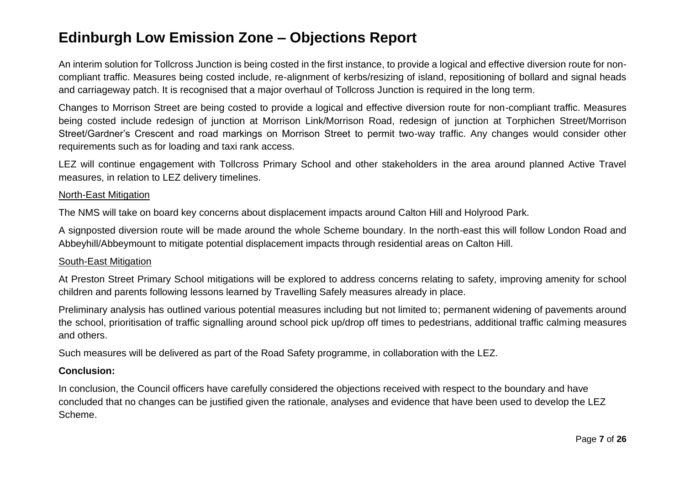An interim solution for Tollcross Junction is being costed in the first instance, to provide a logical and effective diversion route for noncompliant traffic. Measures being costed include, re-alignment of kerbs/resizing of island, repositioning of bollard and signal heads and carriageway patch. It is recognised that a major overhaul of Tollcross Junction is required in the long term.

Changes to Morrison Street are being costed to provide a logical and effective diversion route for non-compliant traffic. Measures being costed include redesign of junction at Morrison Link/Morrison Road, redesign of junction at Torphichen Street/Morrison Street/Gardner's Crescent and road markings on Morrison Street to permit two-way traffic. Any changes would consider other requirements such as for loading and taxi rank access.

LEZ will continue engagement with Tollcross Primary School and other stakeholders in the area around planned Active Travel measures, in relation to LEZ delivery timelines.

#### North-East Mitigation

The NMS will take on board key concerns about displacement impacts around Calton Hill and Holyrood Park.

A signposted diversion route will be made around the whole Scheme boundary. In the north-east this will follow London Road and Abbeyhill/Abbeymount to mitigate potential displacement impacts through residential areas on Calton Hill.

#### South-East Mitigation

At Preston Street Primary School mitigations will be explored to address concerns relating to safety, improving amenity for school children and parents following lessons learned by Travelling Safely measures already in place.

Preliminary analysis has outlined various potential measures including but not limited to; permanent widening of pavements around the school, prioritisation of traffic signalling around school pick up/drop off times to pedestrians, additional traffic calming measures and others.

Such measures will be delivered as part of the Road Safety programme, in collaboration with the LEZ.

#### **Conclusion:**

In conclusion, the Council officers have carefully considered the objections received with respect to the boundary and have concluded that no changes can be justified given the rationale, analyses and evidence that have been used to develop the LEZ Scheme.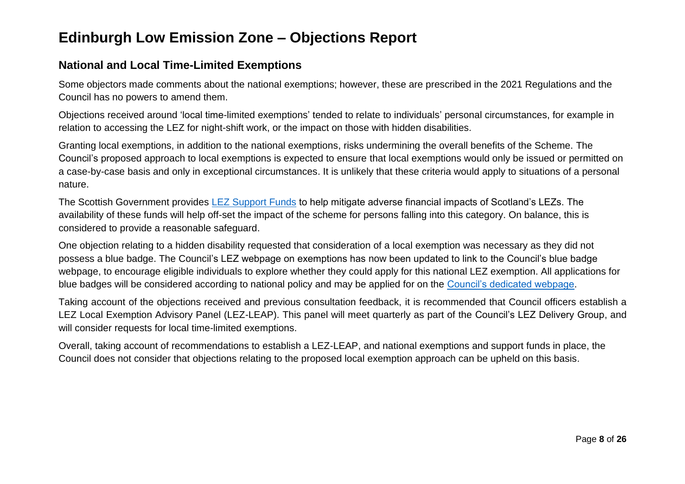### **National and Local Time-Limited Exemptions**

Some objectors made comments about the national exemptions; however, these are prescribed in the 2021 Regulations and the Council has no powers to amend them.

Objections received around 'local time-limited exemptions' tended to relate to individuals' personal circumstances, for example in relation to accessing the LEZ for night-shift work, or the impact on those with hidden disabilities.

Granting local exemptions, in addition to the national exemptions, risks undermining the overall benefits of the Scheme. The Council's proposed approach to local exemptions is expected to ensure that local exemptions would only be issued or permitted on a case-by-case basis and only in exceptional circumstances. It is unlikely that these criteria would apply to situations of a personal nature.

The Scottish Government provides [LEZ Support Funds](https://www.lowemissionzones.scot/funding) to help mitigate adverse financial impacts of Scotland's LEZs. The availability of these funds will help off-set the impact of the scheme for persons falling into this category. On balance, this is considered to provide a reasonable safeguard.

One objection relating to a hidden disability requested that consideration of a local exemption was necessary as they did not possess a blue badge. The Council's LEZ webpage on exemptions has now been updated to link to the Council's blue badge webpage, to encourage eligible individuals to explore whether they could apply for this national LEZ exemption. All applications for blue badges will be considered according to national policy and may be applied for on the [Council's dedicated webpage.](https://www.edinburgh.gov.uk/parking-permits/request-blue-badge-1)

Taking account of the objections received and previous consultation feedback, it is recommended that Council officers establish a LEZ Local Exemption Advisory Panel (LEZ-LEAP). This panel will meet quarterly as part of the Council's LEZ Delivery Group, and will consider requests for local time-limited exemptions.

Overall, taking account of recommendations to establish a LEZ-LEAP, and national exemptions and support funds in place, the Council does not consider that objections relating to the proposed local exemption approach can be upheld on this basis.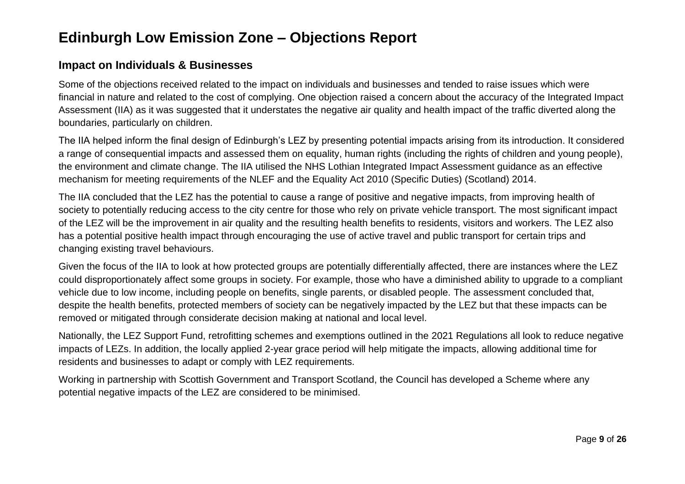#### **Impact on Individuals & Businesses**

Some of the objections received related to the impact on individuals and businesses and tended to raise issues which were financial in nature and related to the cost of complying. One objection raised a concern about the accuracy of the Integrated Impact Assessment (IIA) as it was suggested that it understates the negative air quality and health impact of the traffic diverted along the boundaries, particularly on children.

The IIA helped inform the final design of Edinburgh's LEZ by presenting potential impacts arising from its introduction. It considered a range of consequential impacts and assessed them on equality, human rights (including the rights of children and young people), the environment and climate change. The IIA utilised the NHS Lothian Integrated Impact Assessment guidance as an effective mechanism for meeting requirements of the NLEF and the Equality Act 2010 (Specific Duties) (Scotland) 2014.

The IIA concluded that the LEZ has the potential to cause a range of positive and negative impacts, from improving health of society to potentially reducing access to the city centre for those who rely on private vehicle transport. The most significant impact of the LEZ will be the improvement in air quality and the resulting health benefits to residents, visitors and workers. The LEZ also has a potential positive health impact through encouraging the use of active travel and public transport for certain trips and changing existing travel behaviours.

Given the focus of the IIA to look at how protected groups are potentially differentially affected, there are instances where the LEZ could disproportionately affect some groups in society. For example, those who have a diminished ability to upgrade to a compliant vehicle due to low income, including people on benefits, single parents, or disabled people. The assessment concluded that, despite the health benefits, protected members of society can be negatively impacted by the LEZ but that these impacts can be removed or mitigated through considerate decision making at national and local level.

Nationally, the LEZ Support Fund, retrofitting schemes and exemptions outlined in the 2021 Regulations all look to reduce negative impacts of LEZs. In addition, the locally applied 2-year grace period will help mitigate the impacts, allowing additional time for residents and businesses to adapt or comply with LEZ requirements.

Working in partnership with Scottish Government and Transport Scotland, the Council has developed a Scheme where any potential negative impacts of the LEZ are considered to be minimised.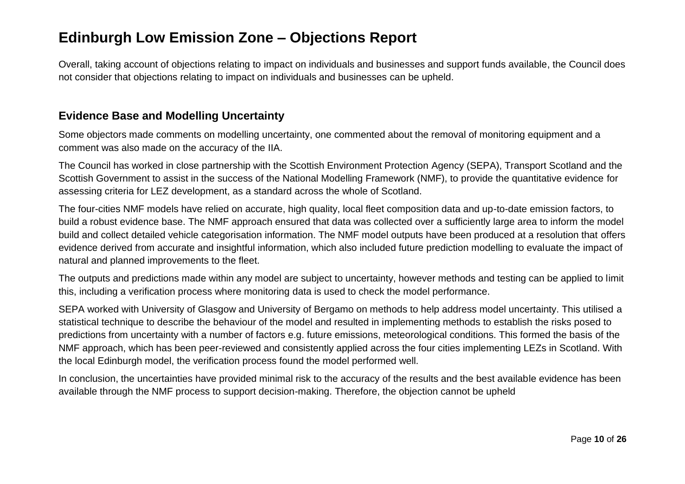Overall, taking account of objections relating to impact on individuals and businesses and support funds available, the Council does not consider that objections relating to impact on individuals and businesses can be upheld.

#### **Evidence Base and Modelling Uncertainty**

Some objectors made comments on modelling uncertainty, one commented about the removal of monitoring equipment and a comment was also made on the accuracy of the IIA.

The Council has worked in close partnership with the Scottish Environment Protection Agency (SEPA), Transport Scotland and the Scottish Government to assist in the success of the National Modelling Framework (NMF), to provide the quantitative evidence for assessing criteria for LEZ development, as a standard across the whole of Scotland.

The four-cities NMF models have relied on accurate, high quality, local fleet composition data and up-to-date emission factors, to build a robust evidence base. The NMF approach ensured that data was collected over a sufficiently large area to inform the model build and collect detailed vehicle categorisation information. The NMF model outputs have been produced at a resolution that offers evidence derived from accurate and insightful information, which also included future prediction modelling to evaluate the impact of natural and planned improvements to the fleet.

The outputs and predictions made within any model are subject to uncertainty, however methods and testing can be applied to limit this, including a verification process where monitoring data is used to check the model performance.

SEPA worked with University of Glasgow and University of Bergamo on methods to help address model uncertainty. This utilised a statistical technique to describe the behaviour of the model and resulted in implementing methods to establish the risks posed to predictions from uncertainty with a number of factors e.g. future emissions, meteorological conditions. This formed the basis of the NMF approach, which has been peer-reviewed and consistently applied across the four cities implementing LEZs in Scotland. With the local Edinburgh model, the verification process found the model performed well.

In conclusion, the uncertainties have provided minimal risk to the accuracy of the results and the best available evidence has been available through the NMF process to support decision-making. Therefore, the objection cannot be upheld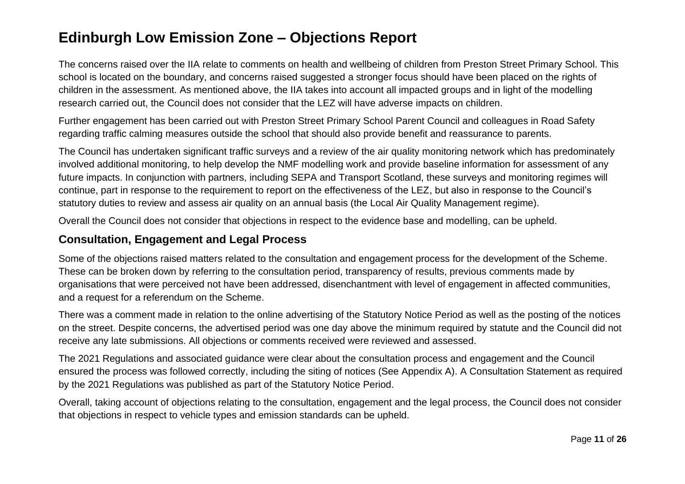The concerns raised over the IIA relate to comments on health and wellbeing of children from Preston Street Primary School. This school is located on the boundary, and concerns raised suggested a stronger focus should have been placed on the rights of children in the assessment. As mentioned above, the IIA takes into account all impacted groups and in light of the modelling research carried out, the Council does not consider that the LEZ will have adverse impacts on children.

Further engagement has been carried out with Preston Street Primary School Parent Council and colleagues in Road Safety regarding traffic calming measures outside the school that should also provide benefit and reassurance to parents.

The Council has undertaken significant traffic surveys and a review of the air quality monitoring network which has predominately involved additional monitoring, to help develop the NMF modelling work and provide baseline information for assessment of any future impacts. In conjunction with partners, including SEPA and Transport Scotland, these surveys and monitoring regimes will continue, part in response to the requirement to report on the effectiveness of the LEZ, but also in response to the Council's statutory duties to review and assess air quality on an annual basis (the Local Air Quality Management regime).

Overall the Council does not consider that objections in respect to the evidence base and modelling, can be upheld.

### **Consultation, Engagement and Legal Process**

Some of the objections raised matters related to the consultation and engagement process for the development of the Scheme. These can be broken down by referring to the consultation period, transparency of results, previous comments made by organisations that were perceived not have been addressed, disenchantment with level of engagement in affected communities, and a request for a referendum on the Scheme.

There was a comment made in relation to the online advertising of the Statutory Notice Period as well as the posting of the notices on the street. Despite concerns, the advertised period was one day above the minimum required by statute and the Council did not receive any late submissions. All objections or comments received were reviewed and assessed.

The 2021 Regulations and associated guidance were clear about the consultation process and engagement and the Council ensured the process was followed correctly, including the siting of notices (See Appendix A). A Consultation Statement as required by the 2021 Regulations was published as part of the Statutory Notice Period.

Overall, taking account of objections relating to the consultation, engagement and the legal process, the Council does not consider that objections in respect to vehicle types and emission standards can be upheld.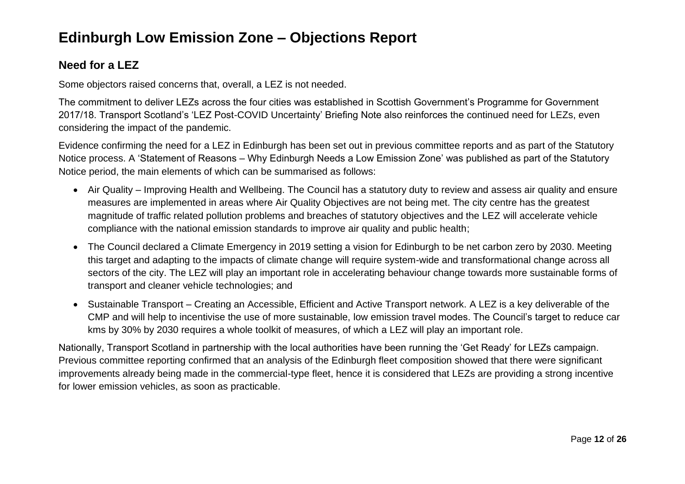### **Need for a LEZ**

Some objectors raised concerns that, overall, a LEZ is not needed.

The commitment to deliver LEZs across the four cities was established in Scottish Government's Programme for Government 2017/18. Transport Scotland's 'LEZ Post-COVID Uncertainty' Briefing Note also reinforces the continued need for LEZs, even considering the impact of the pandemic.

Evidence confirming the need for a LEZ in Edinburgh has been set out in previous committee reports and as part of the Statutory Notice process. A 'Statement of Reasons – Why Edinburgh Needs a Low Emission Zone' was published as part of the Statutory Notice period, the main elements of which can be summarised as follows:

- Air Quality Improving Health and Wellbeing. The Council has a statutory duty to review and assess air quality and ensure measures are implemented in areas where Air Quality Objectives are not being met. The city centre has the greatest magnitude of traffic related pollution problems and breaches of statutory objectives and the LEZ will accelerate vehicle compliance with the national emission standards to improve air quality and public health;
- The Council declared a Climate Emergency in 2019 setting a vision for Edinburgh to be net carbon zero by 2030. Meeting this target and adapting to the impacts of climate change will require system-wide and transformational change across all sectors of the city. The LEZ will play an important role in accelerating behaviour change towards more sustainable forms of transport and cleaner vehicle technologies; and
- Sustainable Transport Creating an Accessible, Efficient and Active Transport network. A LEZ is a key deliverable of the CMP and will help to incentivise the use of more sustainable, low emission travel modes. The Council's target to reduce car kms by 30% by 2030 requires a whole toolkit of measures, of which a LEZ will play an important role.

Nationally, Transport Scotland in partnership with the local authorities have been running the 'Get Ready' for LEZs campaign. Previous committee reporting confirmed that an analysis of the Edinburgh fleet composition showed that there were significant improvements already being made in the commercial-type fleet, hence it is considered that LEZs are providing a strong incentive for lower emission vehicles, as soon as practicable.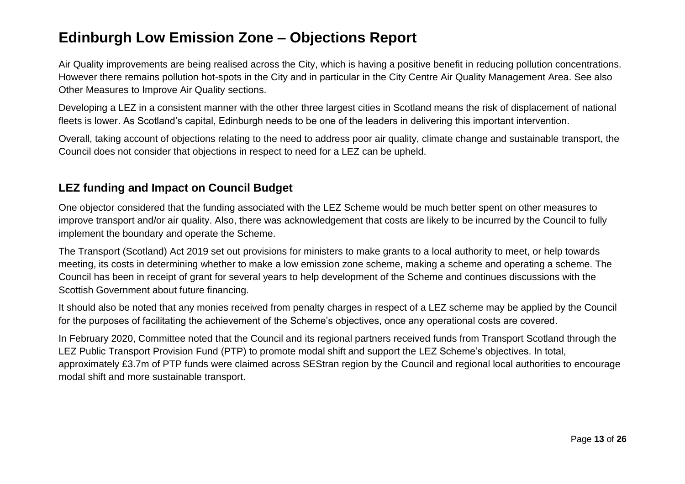Air Quality improvements are being realised across the City, which is having a positive benefit in reducing pollution concentrations. However there remains pollution hot-spots in the City and in particular in the City Centre Air Quality Management Area. See also Other Measures to Improve Air Quality sections.

Developing a LEZ in a consistent manner with the other three largest cities in Scotland means the risk of displacement of national fleets is lower. As Scotland's capital, Edinburgh needs to be one of the leaders in delivering this important intervention.

Overall, taking account of objections relating to the need to address poor air quality, climate change and sustainable transport, the Council does not consider that objections in respect to need for a LEZ can be upheld.

### **LEZ funding and Impact on Council Budget**

One objector considered that the funding associated with the LEZ Scheme would be much better spent on other measures to improve transport and/or air quality. Also, there was acknowledgement that costs are likely to be incurred by the Council to fully implement the boundary and operate the Scheme.

The Transport (Scotland) Act 2019 set out provisions for ministers to make grants to a local authority to meet, or help towards meeting, its costs in determining whether to make a low emission zone scheme, making a scheme and operating a scheme. The Council has been in receipt of grant for several years to help development of the Scheme and continues discussions with the Scottish Government about future financing.

It should also be noted that any monies received from penalty charges in respect of a LEZ scheme may be applied by the Council for the purposes of facilitating the achievement of the Scheme's objectives, once any operational costs are covered.

In February 2020, Committee noted that the Council and its regional partners received funds from Transport Scotland through the LEZ Public Transport Provision Fund (PTP) to promote modal shift and support the LEZ Scheme's objectives. In total, approximately £3.7m of PTP funds were claimed across SEStran region by the Council and regional local authorities to encourage modal shift and more sustainable transport.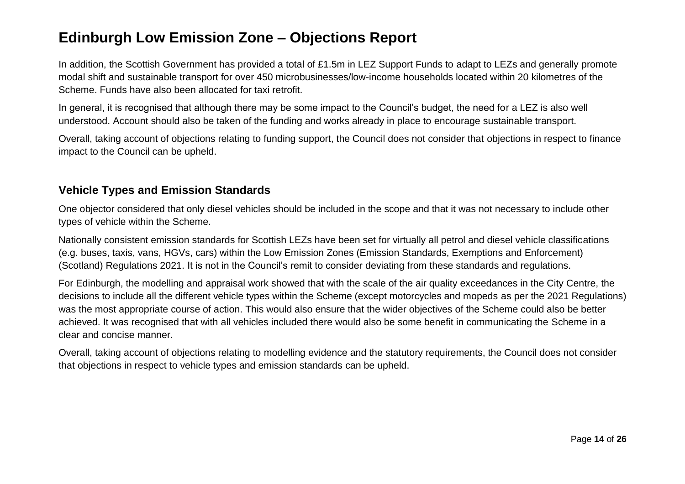In addition, the Scottish Government has provided a total of £1.5m in LEZ Support Funds to adapt to LEZs and generally promote modal shift and sustainable transport for over 450 microbusinesses/low-income households located within 20 kilometres of the Scheme. Funds have also been allocated for taxi retrofit.

In general, it is recognised that although there may be some impact to the Council's budget, the need for a LEZ is also well understood. Account should also be taken of the funding and works already in place to encourage sustainable transport.

Overall, taking account of objections relating to funding support, the Council does not consider that objections in respect to finance impact to the Council can be upheld.

### **Vehicle Types and Emission Standards**

One objector considered that only diesel vehicles should be included in the scope and that it was not necessary to include other types of vehicle within the Scheme.

Nationally consistent emission standards for Scottish LEZs have been set for virtually all petrol and diesel vehicle classifications (e.g. buses, taxis, vans, HGVs, cars) within the Low Emission Zones (Emission Standards, Exemptions and Enforcement) (Scotland) Regulations 2021. It is not in the Council's remit to consider deviating from these standards and regulations.

For Edinburgh, the modelling and appraisal work showed that with the scale of the air quality exceedances in the City Centre, the decisions to include all the different vehicle types within the Scheme (except motorcycles and mopeds as per the 2021 Regulations) was the most appropriate course of action. This would also ensure that the wider objectives of the Scheme could also be better achieved. It was recognised that with all vehicles included there would also be some benefit in communicating the Scheme in a clear and concise manner.

Overall, taking account of objections relating to modelling evidence and the statutory requirements, the Council does not consider that objections in respect to vehicle types and emission standards can be upheld.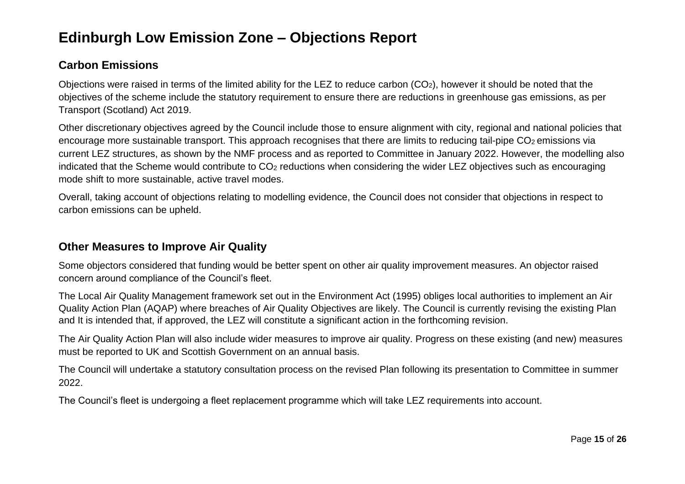### **Carbon Emissions**

Objections were raised in terms of the limited ability for the LEZ to reduce carbon (CO2), however it should be noted that the objectives of the scheme include the statutory requirement to ensure there are reductions in greenhouse gas emissions, as per Transport (Scotland) Act 2019.

Other discretionary objectives agreed by the Council include those to ensure alignment with city, regional and national policies that encourage more sustainable transport. This approach recognises that there are limits to reducing tail-pipe CO<sub>2</sub> emissions via current LEZ structures, as shown by the NMF process and as reported to Committee in January 2022. However, the modelling also indicated that the Scheme would contribute to CO<sub>2</sub> reductions when considering the wider LEZ objectives such as encouraging mode shift to more sustainable, active travel modes.

Overall, taking account of objections relating to modelling evidence, the Council does not consider that objections in respect to carbon emissions can be upheld.

### **Other Measures to Improve Air Quality**

Some objectors considered that funding would be better spent on other air quality improvement measures. An objector raised concern around compliance of the Council's fleet.

The Local Air Quality Management framework set out in the Environment Act (1995) obliges local authorities to implement an Air Quality Action Plan (AQAP) where breaches of Air Quality Objectives are likely. The Council is currently revising the existing Plan and It is intended that, if approved, the LEZ will constitute a significant action in the forthcoming revision.

The Air Quality Action Plan will also include wider measures to improve air quality. Progress on these existing (and new) measures must be reported to UK and Scottish Government on an annual basis.

The Council will undertake a statutory consultation process on the revised Plan following its presentation to Committee in summer 2022.

The Council's fleet is undergoing a fleet replacement programme which will take LEZ requirements into account.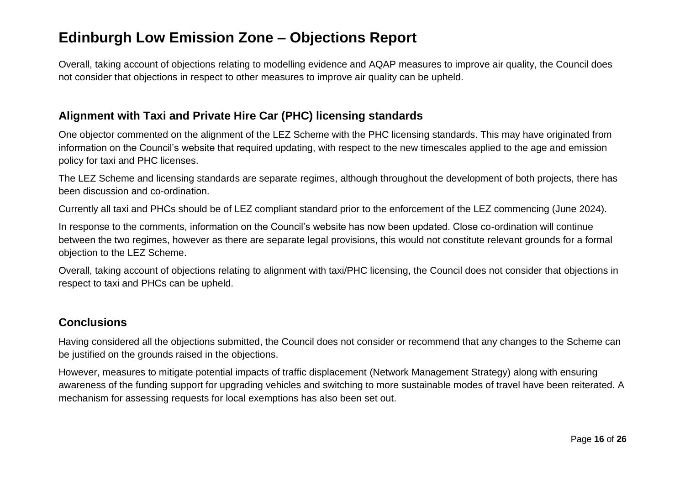Overall, taking account of objections relating to modelling evidence and AQAP measures to improve air quality, the Council does not consider that objections in respect to other measures to improve air quality can be upheld.

#### **Alignment with Taxi and Private Hire Car (PHC) licensing standards**

One objector commented on the alignment of the LEZ Scheme with the PHC licensing standards. This may have originated from information on the Council's website that required updating, with respect to the new timescales applied to the age and emission policy for taxi and PHC licenses.

The LEZ Scheme and licensing standards are separate regimes, although throughout the development of both projects, there has been discussion and co-ordination.

Currently all taxi and PHCs should be of LEZ compliant standard prior to the enforcement of the LEZ commencing (June 2024).

In response to the comments, information on the Council's website has now been updated. Close co-ordination will continue between the two regimes, however as there are separate legal provisions, this would not constitute relevant grounds for a formal objection to the LEZ Scheme.

Overall, taking account of objections relating to alignment with taxi/PHC licensing, the Council does not consider that objections in respect to taxi and PHCs can be upheld.

### **Conclusions**

Having considered all the objections submitted, the Council does not consider or recommend that any changes to the Scheme can be justified on the grounds raised in the objections.

However, measures to mitigate potential impacts of traffic displacement (Network Management Strategy) along with ensuring awareness of the funding support for upgrading vehicles and switching to more sustainable modes of travel have been reiterated. A mechanism for assessing requests for local exemptions has also been set out.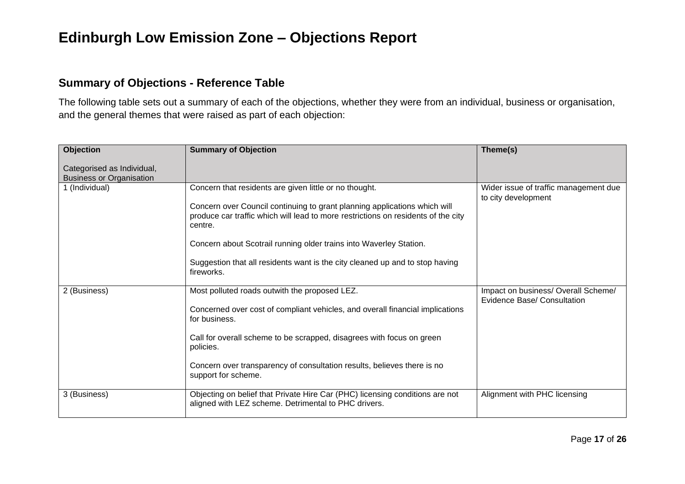#### **Summary of Objections - Reference Table**

The following table sets out a summary of each of the objections, whether they were from an individual, business or organisation, and the general themes that were raised as part of each objection:

| <b>Objection</b>                                              | <b>Summary of Objection</b>                                                                                                                                                                                                                                                                                                                                                               | Theme(s)                                                                  |
|---------------------------------------------------------------|-------------------------------------------------------------------------------------------------------------------------------------------------------------------------------------------------------------------------------------------------------------------------------------------------------------------------------------------------------------------------------------------|---------------------------------------------------------------------------|
| Categorised as Individual,<br><b>Business or Organisation</b> |                                                                                                                                                                                                                                                                                                                                                                                           |                                                                           |
| 1 (Individual)                                                | Concern that residents are given little or no thought.<br>Concern over Council continuing to grant planning applications which will<br>produce car traffic which will lead to more restrictions on residents of the city<br>centre.<br>Concern about Scotrail running older trains into Waverley Station.<br>Suggestion that all residents want is the city cleaned up and to stop having | Wider issue of traffic management due<br>to city development              |
|                                                               | fireworks.                                                                                                                                                                                                                                                                                                                                                                                |                                                                           |
| 2 (Business)                                                  | Most polluted roads outwith the proposed LEZ.<br>Concerned over cost of compliant vehicles, and overall financial implications<br>for business.                                                                                                                                                                                                                                           | Impact on business/ Overall Scheme/<br><b>Evidence Base/ Consultation</b> |
|                                                               | Call for overall scheme to be scrapped, disagrees with focus on green<br>policies.                                                                                                                                                                                                                                                                                                        |                                                                           |
|                                                               | Concern over transparency of consultation results, believes there is no<br>support for scheme.                                                                                                                                                                                                                                                                                            |                                                                           |
| 3 (Business)                                                  | Objecting on belief that Private Hire Car (PHC) licensing conditions are not<br>aligned with LEZ scheme. Detrimental to PHC drivers.                                                                                                                                                                                                                                                      | Alignment with PHC licensing                                              |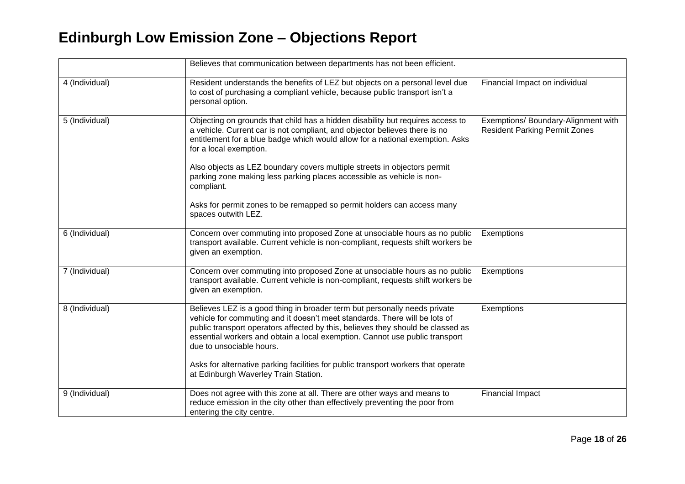|                | Believes that communication between departments has not been efficient.                                                                                                                                                                                                                                                                                                                                                                                                            |                                                                             |
|----------------|------------------------------------------------------------------------------------------------------------------------------------------------------------------------------------------------------------------------------------------------------------------------------------------------------------------------------------------------------------------------------------------------------------------------------------------------------------------------------------|-----------------------------------------------------------------------------|
| 4 (Individual) | Resident understands the benefits of LEZ but objects on a personal level due<br>to cost of purchasing a compliant vehicle, because public transport isn't a<br>personal option.                                                                                                                                                                                                                                                                                                    | Financial Impact on individual                                              |
| 5 (Individual) | Objecting on grounds that child has a hidden disability but requires access to<br>a vehicle. Current car is not compliant, and objector believes there is no<br>entitlement for a blue badge which would allow for a national exemption. Asks<br>for a local exemption.<br>Also objects as LEZ boundary covers multiple streets in objectors permit<br>parking zone making less parking places accessible as vehicle is non-<br>compliant.                                         | Exemptions/ Boundary-Alignment with<br><b>Resident Parking Permit Zones</b> |
|                | Asks for permit zones to be remapped so permit holders can access many<br>spaces outwith LEZ.                                                                                                                                                                                                                                                                                                                                                                                      |                                                                             |
| 6 (Individual) | Concern over commuting into proposed Zone at unsociable hours as no public<br>transport available. Current vehicle is non-compliant, requests shift workers be<br>given an exemption.                                                                                                                                                                                                                                                                                              | Exemptions                                                                  |
| 7 (Individual) | Concern over commuting into proposed Zone at unsociable hours as no public<br>transport available. Current vehicle is non-compliant, requests shift workers be<br>given an exemption.                                                                                                                                                                                                                                                                                              | Exemptions                                                                  |
| 8 (Individual) | Believes LEZ is a good thing in broader term but personally needs private<br>vehicle for commuting and it doesn't meet standards. There will be lots of<br>public transport operators affected by this, believes they should be classed as<br>essential workers and obtain a local exemption. Cannot use public transport<br>due to unsociable hours.<br>Asks for alternative parking facilities for public transport workers that operate<br>at Edinburgh Waverley Train Station. | Exemptions                                                                  |
| 9 (Individual) | Does not agree with this zone at all. There are other ways and means to<br>reduce emission in the city other than effectively preventing the poor from<br>entering the city centre.                                                                                                                                                                                                                                                                                                | <b>Financial Impact</b>                                                     |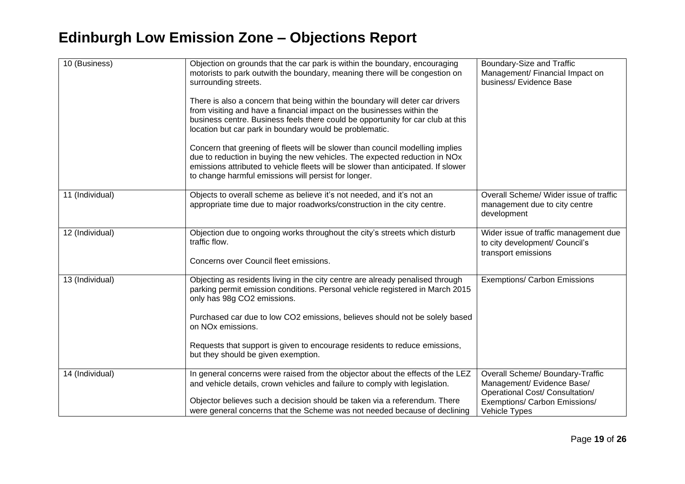| 10 (Business)   | Objection on grounds that the car park is within the boundary, encouraging<br>motorists to park outwith the boundary, meaning there will be congestion on<br>surrounding streets.                                                                                                                        | Boundary-Size and Traffic<br>Management/ Financial Impact on<br>business/ Evidence Base           |
|-----------------|----------------------------------------------------------------------------------------------------------------------------------------------------------------------------------------------------------------------------------------------------------------------------------------------------------|---------------------------------------------------------------------------------------------------|
|                 | There is also a concern that being within the boundary will deter car drivers<br>from visiting and have a financial impact on the businesses within the<br>business centre. Business feels there could be opportunity for car club at this<br>location but car park in boundary would be problematic.    |                                                                                                   |
|                 | Concern that greening of fleets will be slower than council modelling implies<br>due to reduction in buying the new vehicles. The expected reduction in NOx<br>emissions attributed to vehicle fleets will be slower than anticipated. If slower<br>to change harmful emissions will persist for longer. |                                                                                                   |
| 11 (Individual) | Objects to overall scheme as believe it's not needed, and it's not an<br>appropriate time due to major roadworks/construction in the city centre.                                                                                                                                                        | Overall Scheme/ Wider issue of traffic<br>management due to city centre<br>development            |
| 12 (Individual) | Objection due to ongoing works throughout the city's streets which disturb<br>traffic flow.<br>Concerns over Council fleet emissions.                                                                                                                                                                    | Wider issue of traffic management due<br>to city development/ Council's<br>transport emissions    |
| 13 (Individual) | Objecting as residents living in the city centre are already penalised through<br>parking permit emission conditions. Personal vehicle registered in March 2015<br>only has 98g CO2 emissions.                                                                                                           | <b>Exemptions/ Carbon Emissions</b>                                                               |
|                 | Purchased car due to low CO2 emissions, believes should not be solely based<br>on NO <sub>x</sub> emissions.                                                                                                                                                                                             |                                                                                                   |
|                 | Requests that support is given to encourage residents to reduce emissions,<br>but they should be given exemption.                                                                                                                                                                                        |                                                                                                   |
| 14 (Individual) | In general concerns were raised from the objector about the effects of the LEZ<br>and vehicle details, crown vehicles and failure to comply with legislation.                                                                                                                                            | Overall Scheme/ Boundary-Traffic<br>Management/ Evidence Base/<br>Operational Cost/ Consultation/ |
|                 | Objector believes such a decision should be taken via a referendum. There<br>were general concerns that the Scheme was not needed because of declining                                                                                                                                                   | Exemptions/ Carbon Emissions/<br>Vehicle Types                                                    |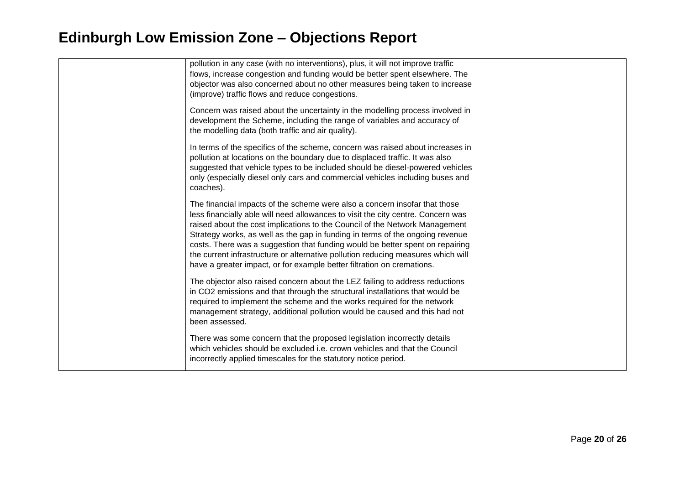| pollution in any case (with no interventions), plus, it will not improve traffic<br>flows, increase congestion and funding would be better spent elsewhere. The<br>objector was also concerned about no other measures being taken to increase<br>(improve) traffic flows and reduce congestions.                                                                                                                                                                                                                                                                             |  |
|-------------------------------------------------------------------------------------------------------------------------------------------------------------------------------------------------------------------------------------------------------------------------------------------------------------------------------------------------------------------------------------------------------------------------------------------------------------------------------------------------------------------------------------------------------------------------------|--|
| Concern was raised about the uncertainty in the modelling process involved in<br>development the Scheme, including the range of variables and accuracy of<br>the modelling data (both traffic and air quality).                                                                                                                                                                                                                                                                                                                                                               |  |
| In terms of the specifics of the scheme, concern was raised about increases in<br>pollution at locations on the boundary due to displaced traffic. It was also<br>suggested that vehicle types to be included should be diesel-powered vehicles<br>only (especially diesel only cars and commercial vehicles including buses and<br>coaches).                                                                                                                                                                                                                                 |  |
| The financial impacts of the scheme were also a concern insofar that those<br>less financially able will need allowances to visit the city centre. Concern was<br>raised about the cost implications to the Council of the Network Management<br>Strategy works, as well as the gap in funding in terms of the ongoing revenue<br>costs. There was a suggestion that funding would be better spent on repairing<br>the current infrastructure or alternative pollution reducing measures which will<br>have a greater impact, or for example better filtration on cremations. |  |
| The objector also raised concern about the LEZ failing to address reductions<br>in CO2 emissions and that through the structural installations that would be<br>required to implement the scheme and the works required for the network<br>management strategy, additional pollution would be caused and this had not<br>been assessed.                                                                                                                                                                                                                                       |  |
| There was some concern that the proposed legislation incorrectly details<br>which vehicles should be excluded i.e. crown vehicles and that the Council<br>incorrectly applied timescales for the statutory notice period.                                                                                                                                                                                                                                                                                                                                                     |  |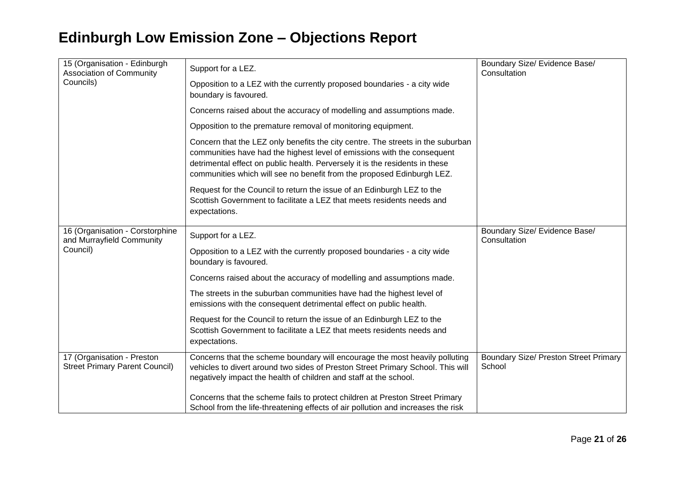| 15 (Organisation - Edinburgh<br><b>Association of Community</b><br>Councils) | Support for a LEZ.                                                                                                                                                                                                                                                                                                   | Boundary Size/ Evidence Base/<br>Consultation          |
|------------------------------------------------------------------------------|----------------------------------------------------------------------------------------------------------------------------------------------------------------------------------------------------------------------------------------------------------------------------------------------------------------------|--------------------------------------------------------|
|                                                                              | Opposition to a LEZ with the currently proposed boundaries - a city wide<br>boundary is favoured.                                                                                                                                                                                                                    |                                                        |
|                                                                              | Concerns raised about the accuracy of modelling and assumptions made.                                                                                                                                                                                                                                                |                                                        |
|                                                                              | Opposition to the premature removal of monitoring equipment.                                                                                                                                                                                                                                                         |                                                        |
|                                                                              | Concern that the LEZ only benefits the city centre. The streets in the suburban<br>communities have had the highest level of emissions with the consequent<br>detrimental effect on public health. Perversely it is the residents in these<br>communities which will see no benefit from the proposed Edinburgh LEZ. |                                                        |
|                                                                              | Request for the Council to return the issue of an Edinburgh LEZ to the<br>Scottish Government to facilitate a LEZ that meets residents needs and<br>expectations.                                                                                                                                                    |                                                        |
| 16 (Organisation - Corstorphine<br>and Murrayfield Community                 | Support for a LEZ.                                                                                                                                                                                                                                                                                                   | Boundary Size/ Evidence Base/<br>Consultation          |
| Council)                                                                     | Opposition to a LEZ with the currently proposed boundaries - a city wide<br>boundary is favoured.                                                                                                                                                                                                                    |                                                        |
|                                                                              | Concerns raised about the accuracy of modelling and assumptions made.                                                                                                                                                                                                                                                |                                                        |
|                                                                              | The streets in the suburban communities have had the highest level of<br>emissions with the consequent detrimental effect on public health.                                                                                                                                                                          |                                                        |
|                                                                              | Request for the Council to return the issue of an Edinburgh LEZ to the<br>Scottish Government to facilitate a LEZ that meets residents needs and<br>expectations.                                                                                                                                                    |                                                        |
| 17 (Organisation - Preston<br><b>Street Primary Parent Council)</b>          | Concerns that the scheme boundary will encourage the most heavily polluting<br>vehicles to divert around two sides of Preston Street Primary School. This will<br>negatively impact the health of children and staff at the school.                                                                                  | <b>Boundary Size/ Preston Street Primary</b><br>School |
|                                                                              | Concerns that the scheme fails to protect children at Preston Street Primary<br>School from the life-threatening effects of air pollution and increases the risk                                                                                                                                                     |                                                        |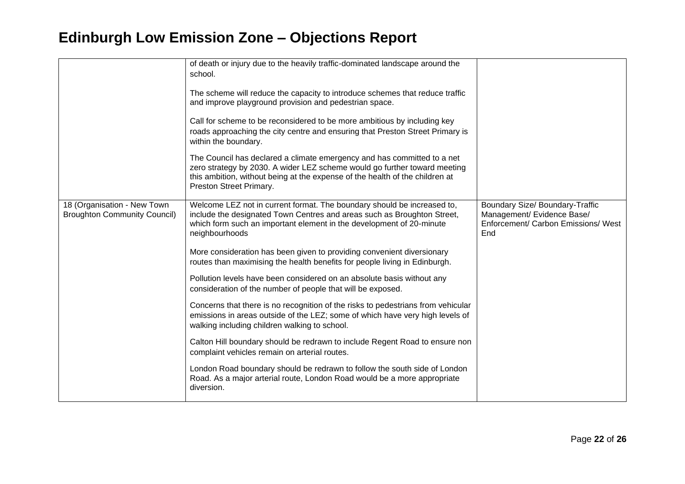|                                                                    | of death or injury due to the heavily traffic-dominated landscape around the<br>school.<br>The scheme will reduce the capacity to introduce schemes that reduce traffic<br>and improve playground provision and pedestrian space.<br>Call for scheme to be reconsidered to be more ambitious by including key<br>roads approaching the city centre and ensuring that Preston Street Primary is<br>within the boundary.<br>The Council has declared a climate emergency and has committed to a net<br>zero strategy by 2030. A wider LEZ scheme would go further toward meeting<br>this ambition, without being at the expense of the health of the children at<br>Preston Street Primary. |                                                                                                             |
|--------------------------------------------------------------------|-------------------------------------------------------------------------------------------------------------------------------------------------------------------------------------------------------------------------------------------------------------------------------------------------------------------------------------------------------------------------------------------------------------------------------------------------------------------------------------------------------------------------------------------------------------------------------------------------------------------------------------------------------------------------------------------|-------------------------------------------------------------------------------------------------------------|
| 18 (Organisation - New Town<br><b>Broughton Community Council)</b> | Welcome LEZ not in current format. The boundary should be increased to,<br>include the designated Town Centres and areas such as Broughton Street,<br>which form such an important element in the development of 20-minute<br>neighbourhoods                                                                                                                                                                                                                                                                                                                                                                                                                                              | Boundary Size/ Boundary-Traffic<br>Management/ Evidence Base/<br>Enforcement/ Carbon Emissions/ West<br>End |
|                                                                    | More consideration has been given to providing convenient diversionary<br>routes than maximising the health benefits for people living in Edinburgh.                                                                                                                                                                                                                                                                                                                                                                                                                                                                                                                                      |                                                                                                             |
|                                                                    | Pollution levels have been considered on an absolute basis without any<br>consideration of the number of people that will be exposed.                                                                                                                                                                                                                                                                                                                                                                                                                                                                                                                                                     |                                                                                                             |
|                                                                    | Concerns that there is no recognition of the risks to pedestrians from vehicular<br>emissions in areas outside of the LEZ; some of which have very high levels of<br>walking including children walking to school.                                                                                                                                                                                                                                                                                                                                                                                                                                                                        |                                                                                                             |
|                                                                    | Calton Hill boundary should be redrawn to include Regent Road to ensure non<br>complaint vehicles remain on arterial routes.                                                                                                                                                                                                                                                                                                                                                                                                                                                                                                                                                              |                                                                                                             |
|                                                                    | London Road boundary should be redrawn to follow the south side of London<br>Road. As a major arterial route, London Road would be a more appropriate<br>diversion.                                                                                                                                                                                                                                                                                                                                                                                                                                                                                                                       |                                                                                                             |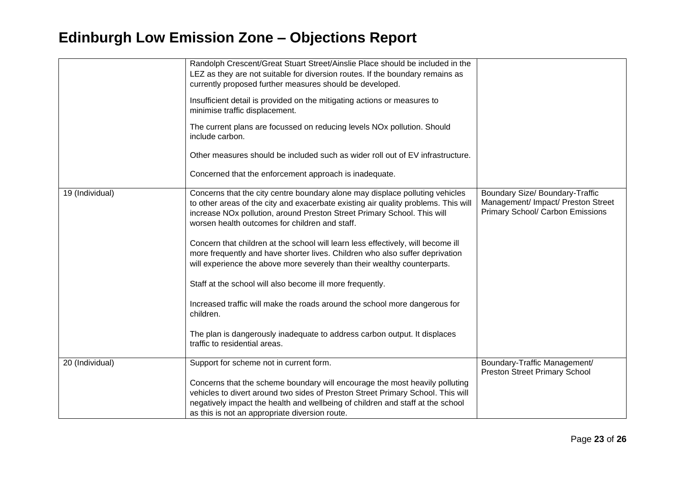|                 | Randolph Crescent/Great Stuart Street/Ainslie Place should be included in the<br>LEZ as they are not suitable for diversion routes. If the boundary remains as<br>currently proposed further measures should be developed.<br>Insufficient detail is provided on the mitigating actions or measures to<br>minimise traffic displacement.<br>The current plans are focussed on reducing levels NOx pollution. Should<br>include carbon.<br>Other measures should be included such as wider roll out of EV infrastructure.<br>Concerned that the enforcement approach is inadequate.                                                                                                                                                                                                                                    |                                                                                                           |
|-----------------|-----------------------------------------------------------------------------------------------------------------------------------------------------------------------------------------------------------------------------------------------------------------------------------------------------------------------------------------------------------------------------------------------------------------------------------------------------------------------------------------------------------------------------------------------------------------------------------------------------------------------------------------------------------------------------------------------------------------------------------------------------------------------------------------------------------------------|-----------------------------------------------------------------------------------------------------------|
| 19 (Individual) | Concerns that the city centre boundary alone may displace polluting vehicles<br>to other areas of the city and exacerbate existing air quality problems. This will<br>increase NOx pollution, around Preston Street Primary School. This will<br>worsen health outcomes for children and staff.<br>Concern that children at the school will learn less effectively, will become ill<br>more frequently and have shorter lives. Children who also suffer deprivation<br>will experience the above more severely than their wealthy counterparts.<br>Staff at the school will also become ill more frequently.<br>Increased traffic will make the roads around the school more dangerous for<br>children.<br>The plan is dangerously inadequate to address carbon output. It displaces<br>traffic to residential areas. | Boundary Size/ Boundary-Traffic<br>Management/ Impact/ Preston Street<br>Primary School/ Carbon Emissions |
| 20 (Individual) | Support for scheme not in current form.<br>Concerns that the scheme boundary will encourage the most heavily polluting<br>vehicles to divert around two sides of Preston Street Primary School. This will<br>negatively impact the health and wellbeing of children and staff at the school<br>as this is not an appropriate diversion route.                                                                                                                                                                                                                                                                                                                                                                                                                                                                         | Boundary-Traffic Management/<br><b>Preston Street Primary School</b>                                      |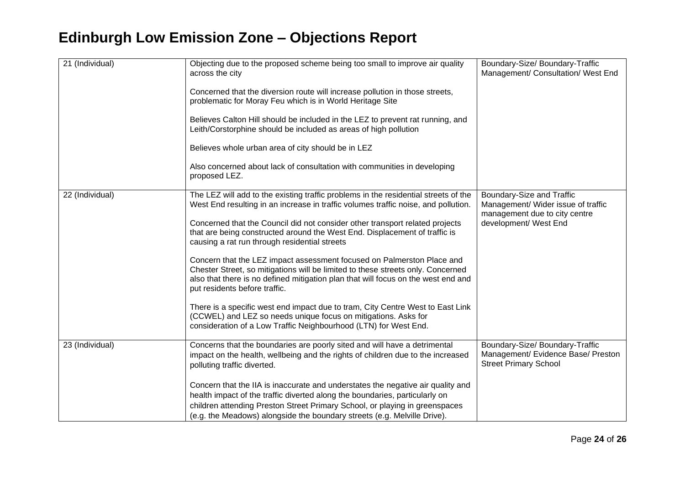| 21 (Individual) | Objecting due to the proposed scheme being too small to improve air quality<br>across the city                                                                                                                                                                                                                            | Boundary-Size/ Boundary-Traffic<br>Management/ Consultation/ West End                                 |
|-----------------|---------------------------------------------------------------------------------------------------------------------------------------------------------------------------------------------------------------------------------------------------------------------------------------------------------------------------|-------------------------------------------------------------------------------------------------------|
|                 | Concerned that the diversion route will increase pollution in those streets,<br>problematic for Moray Feu which is in World Heritage Site                                                                                                                                                                                 |                                                                                                       |
|                 | Believes Calton Hill should be included in the LEZ to prevent rat running, and<br>Leith/Corstorphine should be included as areas of high pollution                                                                                                                                                                        |                                                                                                       |
|                 | Believes whole urban area of city should be in LEZ                                                                                                                                                                                                                                                                        |                                                                                                       |
|                 | Also concerned about lack of consultation with communities in developing<br>proposed LEZ.                                                                                                                                                                                                                                 |                                                                                                       |
| 22 (Individual) | The LEZ will add to the existing traffic problems in the residential streets of the<br>West End resulting in an increase in traffic volumes traffic noise, and pollution.                                                                                                                                                 | Boundary-Size and Traffic<br>Management/ Wider issue of traffic<br>management due to city centre      |
|                 | Concerned that the Council did not consider other transport related projects<br>that are being constructed around the West End. Displacement of traffic is<br>causing a rat run through residential streets                                                                                                               | development/ West End                                                                                 |
|                 | Concern that the LEZ impact assessment focused on Palmerston Place and<br>Chester Street, so mitigations will be limited to these streets only. Concerned<br>also that there is no defined mitigation plan that will focus on the west end and<br>put residents before traffic.                                           |                                                                                                       |
|                 | There is a specific west end impact due to tram, City Centre West to East Link<br>(CCWEL) and LEZ so needs unique focus on mitigations. Asks for<br>consideration of a Low Traffic Neighbourhood (LTN) for West End.                                                                                                      |                                                                                                       |
| 23 (Individual) | Concerns that the boundaries are poorly sited and will have a detrimental<br>impact on the health, wellbeing and the rights of children due to the increased<br>polluting traffic diverted.                                                                                                                               | Boundary-Size/ Boundary-Traffic<br>Management/ Evidence Base/ Preston<br><b>Street Primary School</b> |
|                 | Concern that the IIA is inaccurate and understates the negative air quality and<br>health impact of the traffic diverted along the boundaries, particularly on<br>children attending Preston Street Primary School, or playing in greenspaces<br>(e.g. the Meadows) alongside the boundary streets (e.g. Melville Drive). |                                                                                                       |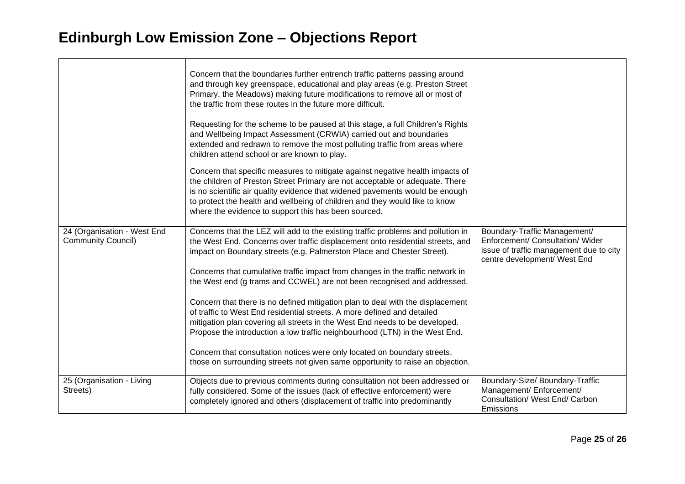|                                                          | Concern that the boundaries further entrench traffic patterns passing around<br>and through key greenspace, educational and play areas (e.g. Preston Street<br>Primary, the Meadows) making future modifications to remove all or most of<br>the traffic from these routes in the future more difficult.<br>Requesting for the scheme to be paused at this stage, a full Children's Rights<br>and Wellbeing Impact Assessment (CRWIA) carried out and boundaries<br>extended and redrawn to remove the most polluting traffic from areas where<br>children attend school or are known to play. |                                                                                                                                             |
|----------------------------------------------------------|------------------------------------------------------------------------------------------------------------------------------------------------------------------------------------------------------------------------------------------------------------------------------------------------------------------------------------------------------------------------------------------------------------------------------------------------------------------------------------------------------------------------------------------------------------------------------------------------|---------------------------------------------------------------------------------------------------------------------------------------------|
|                                                          | Concern that specific measures to mitigate against negative health impacts of<br>the children of Preston Street Primary are not acceptable or adequate. There<br>is no scientific air quality evidence that widened pavements would be enough<br>to protect the health and wellbeing of children and they would like to know<br>where the evidence to support this has been sourced.                                                                                                                                                                                                           |                                                                                                                                             |
| 24 (Organisation - West End<br><b>Community Council)</b> | Concerns that the LEZ will add to the existing traffic problems and pollution in<br>the West End. Concerns over traffic displacement onto residential streets, and<br>impact on Boundary streets (e.g. Palmerston Place and Chester Street).<br>Concerns that cumulative traffic impact from changes in the traffic network in                                                                                                                                                                                                                                                                 | Boundary-Traffic Management/<br>Enforcement/ Consultation/ Wider<br>issue of traffic management due to city<br>centre development/ West End |
|                                                          | the West end (g trams and CCWEL) are not been recognised and addressed.                                                                                                                                                                                                                                                                                                                                                                                                                                                                                                                        |                                                                                                                                             |
|                                                          | Concern that there is no defined mitigation plan to deal with the displacement<br>of traffic to West End residential streets. A more defined and detailed<br>mitigation plan covering all streets in the West End needs to be developed.<br>Propose the introduction a low traffic neighbourhood (LTN) in the West End.                                                                                                                                                                                                                                                                        |                                                                                                                                             |
|                                                          | Concern that consultation notices were only located on boundary streets,<br>those on surrounding streets not given same opportunity to raise an objection.                                                                                                                                                                                                                                                                                                                                                                                                                                     |                                                                                                                                             |
| 25 (Organisation - Living<br>Streets)                    | Objects due to previous comments during consultation not been addressed or<br>fully considered. Some of the issues (lack of effective enforcement) were<br>completely ignored and others (displacement of traffic into predominantly                                                                                                                                                                                                                                                                                                                                                           | Boundary-Size/ Boundary-Traffic<br>Management/ Enforcement/<br>Consultation/ West End/ Carbon<br>Emissions                                  |